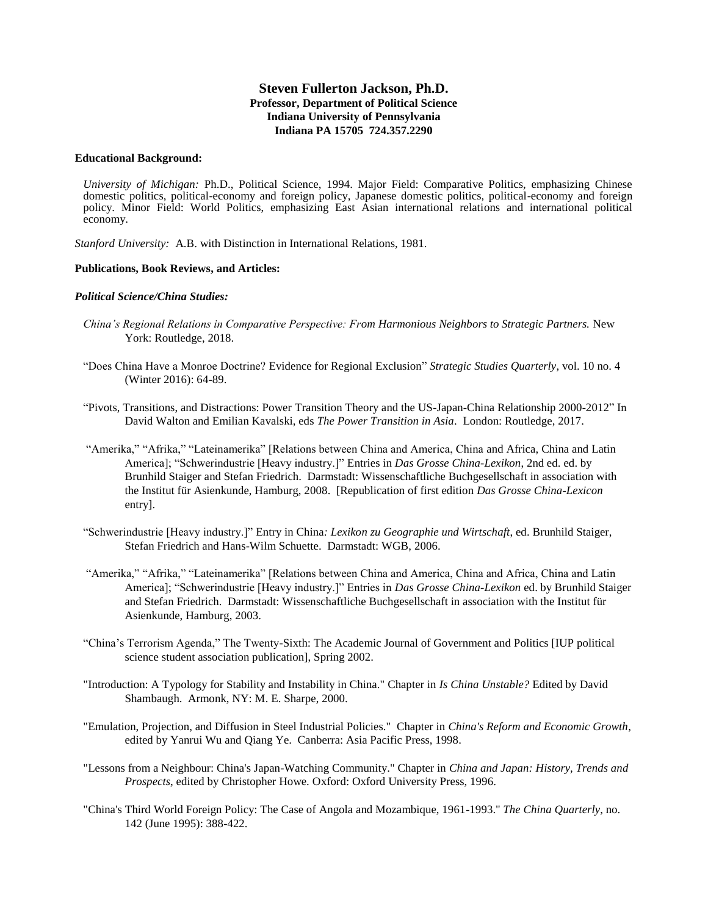# **Steven Fullerton Jackson, Ph.D. Professor, Department of Political Science Indiana University of Pennsylvania Indiana PA 15705 724.357.2290**

### **Educational Background:**

*University of Michigan:* Ph.D., Political Science, 1994. Major Field: Comparative Politics, emphasizing Chinese domestic politics, political-economy and foreign policy, Japanese domestic politics, political-economy and foreign policy. Minor Field: World Politics, emphasizing East Asian international relations and international political economy.

*Stanford University:* A.B. with Distinction in International Relations, 1981.

### **Publications, Book Reviews, and Articles:**

### *Political Science/China Studies:*

- *China's Regional Relations in Comparative Perspective: From Harmonious Neighbors to Strategic Partners.* New York: Routledge, 2018.
- "Does China Have a Monroe Doctrine? Evidence for Regional Exclusion" *Strategic Studies Quarterly*, vol. 10 no. 4 (Winter 2016): 64-89.
- "Pivots, Transitions, and Distractions: Power Transition Theory and the US-Japan-China Relationship 2000-2012" In David Walton and Emilian Kavalski, eds *The Power Transition in Asia*. London: Routledge, 2017.
- "Amerika," "Afrika," "Lateinamerika" [Relations between China and America, China and Africa, China and Latin America]; "Schwerindustrie [Heavy industry.]" Entries in *Das Grosse China-Lexikon*, 2nd ed. ed. by Brunhild Staiger and Stefan Friedrich. Darmstadt: Wissenschaftliche Buchgesellschaft in association with the Institut für Asienkunde, Hamburg, 2008. [Republication of first edition *Das Grosse China-Lexicon* entry].
- "Schwerindustrie [Heavy industry.]" Entry in China*: Lexikon zu Geographie und Wirtschaft*, ed. Brunhild Staiger, Stefan Friedrich and Hans-Wilm Schuette. Darmstadt: WGB, 2006.
- "Amerika," "Afrika," "Lateinamerika" [Relations between China and America, China and Africa, China and Latin America]; "Schwerindustrie [Heavy industry.]" Entries in *Das Grosse China-Lexikon* ed. by Brunhild Staiger and Stefan Friedrich. Darmstadt: Wissenschaftliche Buchgesellschaft in association with the Institut für Asienkunde, Hamburg, 2003.
- "China's Terrorism Agenda," The Twenty-Sixth: The Academic Journal of Government and Politics [IUP political science student association publication], Spring 2002.
- "Introduction: A Typology for Stability and Instability in China." Chapter in *Is China Unstable?* Edited by David Shambaugh. Armonk, NY: M. E. Sharpe, 2000.
- "Emulation, Projection, and Diffusion in Steel Industrial Policies." Chapter in *China's Reform and Economic Growth*, edited by Yanrui Wu and Qiang Ye. Canberra: Asia Pacific Press, 1998.
- "Lessons from a Neighbour: China's Japan-Watching Community." Chapter in *China and Japan: History, Trends and Prospects*, edited by Christopher Howe. Oxford: Oxford University Press, 1996.
- "China's Third World Foreign Policy: The Case of Angola and Mozambique, 1961-1993." *The China Quarterly*, no. 142 (June 1995): 388-422.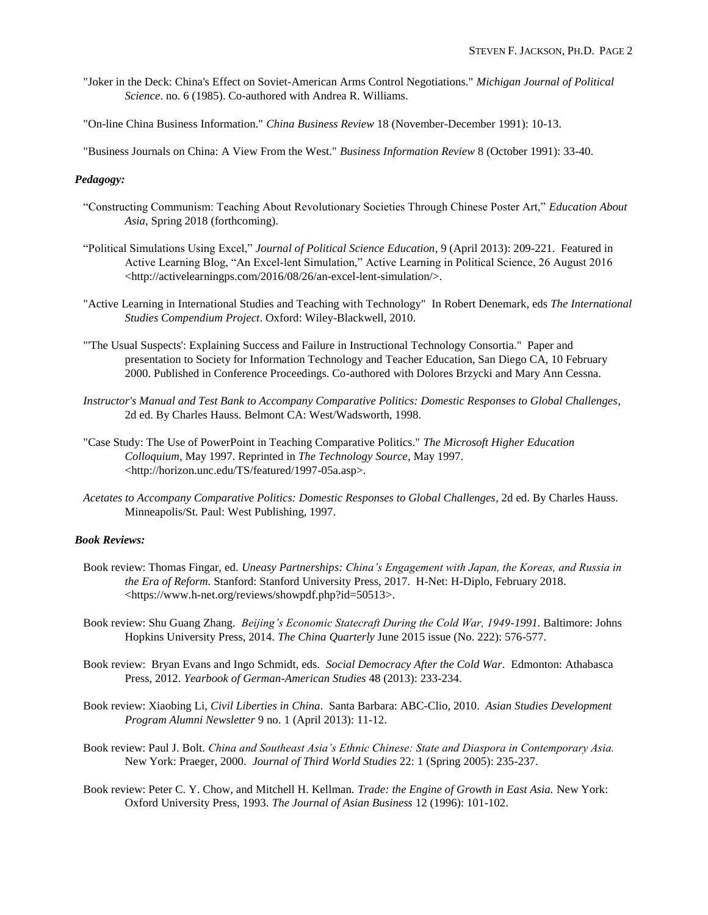- "Joker in the Deck: China's Effect on Soviet-American Arms Control Negotiations." *Michigan Journal of Political Science*. no. 6 (1985). Co-authored with Andrea R. Williams.
- "On-line China Business Information." *China Business Review* 18 (November-December 1991): 10-13.

"Business Journals on China: A View From the West." *Business Information Review* 8 (October 1991): 33-40.

### *Pedagogy:*

- "Constructing Communism: Teaching About Revolutionary Societies Through Chinese Poster Art," *Education About Asia*, Spring 2018 (forthcoming).
- "Political Simulations Using Excel," *Journal of Political Science Education*, 9 (April 2013): 209-221. Featured in Active Learning Blog, "An Excel-lent Simulation," Active Learning in Political Science, 26 August 2016 <http://activelearningps.com/2016/08/26/an-excel-lent-simulation/>.
- "Active Learning in International Studies and Teaching with Technology" In Robert Denemark, eds *The International Studies Compendium Project*. Oxford: Wiley-Blackwell, 2010.
- "'The Usual Suspects': Explaining Success and Failure in Instructional Technology Consortia." Paper and presentation to Society for Information Technology and Teacher Education, San Diego CA, 10 February 2000. Published in Conference Proceedings. Co-authored with Dolores Brzycki and Mary Ann Cessna.
- *Instructor's Manual and Test Bank to Accompany Comparative Politics: Domestic Responses to Global Challenges*, 2d ed. By Charles Hauss. Belmont CA: West/Wadsworth, 1998.
- "Case Study: The Use of PowerPoint in Teaching Comparative Politics." *The Microsoft Higher Education Colloquium*, May 1997. Reprinted in *The Technology Source*, May 1997. <http://horizon.unc.edu/TS/featured/1997-05a.asp>.
- *Acetates to Accompany Comparative Politics: Domestic Responses to Global Challenges*, 2d ed. By Charles Hauss. Minneapolis/St. Paul: West Publishing, 1997.

## *Book Reviews:*

- Book review: Thomas Fingar, ed. *Uneasy Partnerships: China's Engagement with Japan, the Koreas, and Russia in the Era of Reform.* Stanford: Stanford University Press, 2017. H-Net: H-Diplo, February 2018. <https://www.h-net.org/reviews/showpdf.php?id=50513>.
- Book review: Shu Guang Zhang. *Beijing's Economic Statecraft During the Cold War, 1949-1991.* Baltimore: Johns Hopkins University Press, 2014. *The China Quarterly* June 2015 issue (No. 222): 576-577.
- Book review: Bryan Evans and Ingo Schmidt, eds. *Social Democracy After the Cold War*. Edmonton: Athabasca Press, 2012. *Yearbook of German-American Studies* 48 (2013): 233-234.
- Book review: Xiaobing Li, *Civil Liberties in China*. Santa Barbara: ABC-Clio, 2010. *Asian Studies Development Program Alumni Newsletter* 9 no. 1 (April 2013): 11-12.
- Book review: Paul J. Bolt. *China and Southeast Asia's Ethnic Chinese: State and Diaspora in Contemporary Asia.* New York: Praeger, 2000. *Journal of Third World Studies* 22: 1 (Spring 2005): 235-237.
- Book review: Peter C. Y. Chow, and Mitchell H. Kellman. *Trade: the Engine of Growth in East Asia.* New York: Oxford University Press, 1993. *The Journal of Asian Business* 12 (1996): 101-102.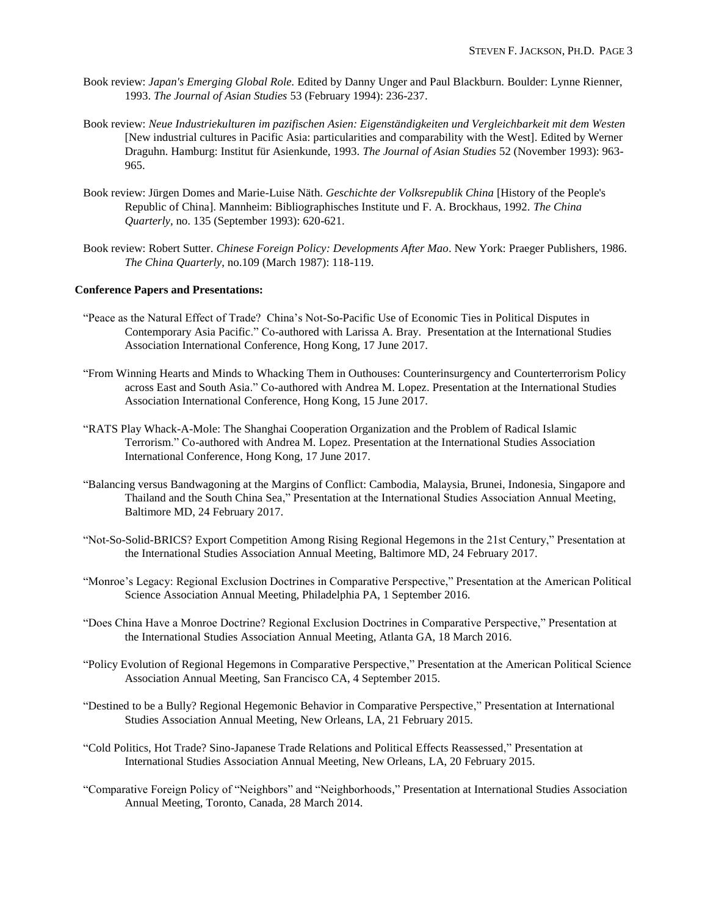- Book review: *Japan's Emerging Global Role.* Edited by Danny Unger and Paul Blackburn. Boulder: Lynne Rienner, 1993. *The Journal of Asian Studies* 53 (February 1994): 236-237.
- Book review: *Neue Industriekulturen im pazifischen Asien: Eigenständigkeiten und Vergleichbarkeit mit dem Westen*  [New industrial cultures in Pacific Asia: particularities and comparability with the West]*.* Edited by Werner Draguhn. Hamburg: Institut für Asienkunde, 1993. *The Journal of Asian Studies* 52 (November 1993): 963- 965.
- Book review: Jürgen Domes and Marie-Luise Näth. *Geschichte der Volksrepublik China* [History of the People's Republic of China]. Mannheim: Bibliographisches Institute und F. A. Brockhaus, 1992. *The China Quarterly*, no. 135 (September 1993): 620-621.
- Book review: Robert Sutter. *Chinese Foreign Policy: Developments After Mao*. New York: Praeger Publishers, 1986. *The China Quarterly*, no.109 (March 1987): 118-119.

### **Conference Papers and Presentations:**

- "Peace as the Natural Effect of Trade? China's Not-So-Pacific Use of Economic Ties in Political Disputes in Contemporary Asia Pacific." Co-authored with Larissa A. Bray. Presentation at the International Studies Association International Conference, Hong Kong, 17 June 2017.
- "From Winning Hearts and Minds to Whacking Them in Outhouses: Counterinsurgency and Counterterrorism Policy across East and South Asia." Co-authored with Andrea M. Lopez. Presentation at the International Studies Association International Conference, Hong Kong, 15 June 2017.
- "RATS Play Whack-A-Mole: The Shanghai Cooperation Organization and the Problem of Radical Islamic Terrorism." Co-authored with Andrea M. Lopez. Presentation at the International Studies Association International Conference, Hong Kong, 17 June 2017.
- "Balancing versus Bandwagoning at the Margins of Conflict: Cambodia, Malaysia, Brunei, Indonesia, Singapore and Thailand and the South China Sea," Presentation at the International Studies Association Annual Meeting, Baltimore MD, 24 February 2017.
- "Not-So-Solid-BRICS? Export Competition Among Rising Regional Hegemons in the 21st Century," Presentation at the International Studies Association Annual Meeting, Baltimore MD, 24 February 2017.
- "Monroe's Legacy: Regional Exclusion Doctrines in Comparative Perspective," Presentation at the American Political Science Association Annual Meeting, Philadelphia PA, 1 September 2016.
- "Does China Have a Monroe Doctrine? Regional Exclusion Doctrines in Comparative Perspective," Presentation at the International Studies Association Annual Meeting, Atlanta GA, 18 March 2016.
- "Policy Evolution of Regional Hegemons in Comparative Perspective," Presentation at the American Political Science Association Annual Meeting, San Francisco CA, 4 September 2015.
- "Destined to be a Bully? Regional Hegemonic Behavior in Comparative Perspective," Presentation at International Studies Association Annual Meeting, New Orleans, LA, 21 February 2015.
- "Cold Politics, Hot Trade? Sino-Japanese Trade Relations and Political Effects Reassessed," Presentation at International Studies Association Annual Meeting, New Orleans, LA, 20 February 2015.
- "Comparative Foreign Policy of "Neighbors" and "Neighborhoods," Presentation at International Studies Association Annual Meeting, Toronto, Canada, 28 March 2014.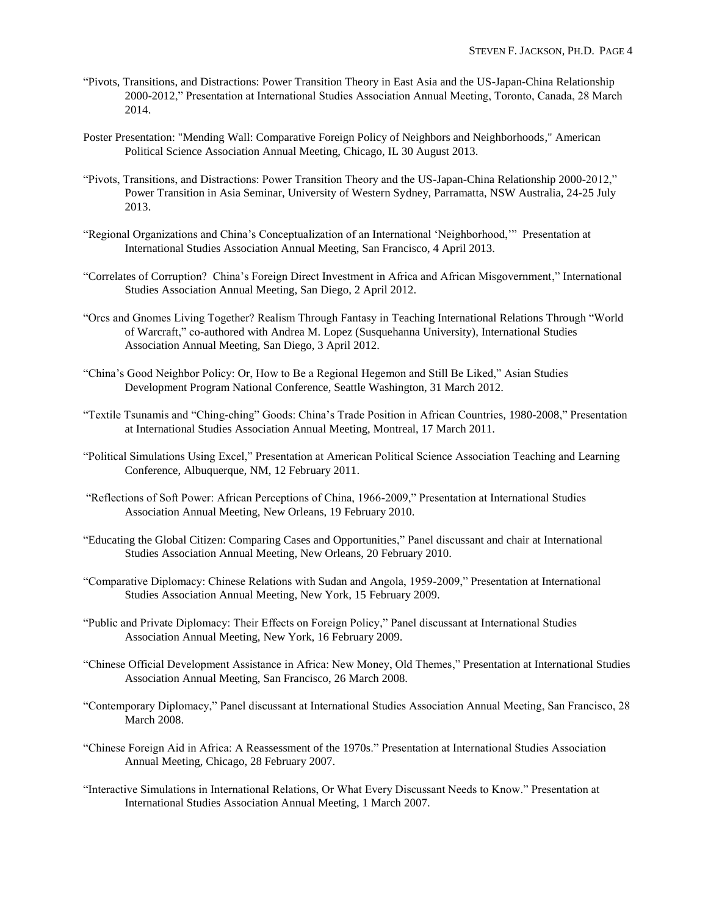- "Pivots, Transitions, and Distractions: Power Transition Theory in East Asia and the US-Japan-China Relationship 2000-2012," Presentation at International Studies Association Annual Meeting, Toronto, Canada, 28 March 2014.
- Poster Presentation: "Mending Wall: Comparative Foreign Policy of Neighbors and Neighborhoods," American Political Science Association Annual Meeting, Chicago, IL 30 August 2013.
- "Pivots, Transitions, and Distractions: Power Transition Theory and the US-Japan-China Relationship 2000-2012," Power Transition in Asia Seminar, University of Western Sydney, Parramatta, NSW Australia, 24-25 July 2013.
- "Regional Organizations and China's Conceptualization of an International 'Neighborhood,'" Presentation at International Studies Association Annual Meeting, San Francisco, 4 April 2013.
- "Correlates of Corruption? China's Foreign Direct Investment in Africa and African Misgovernment," International Studies Association Annual Meeting, San Diego, 2 April 2012.
- "Orcs and Gnomes Living Together? Realism Through Fantasy in Teaching International Relations Through "World of Warcraft," co-authored with Andrea M. Lopez (Susquehanna University), International Studies Association Annual Meeting, San Diego, 3 April 2012.
- "China's Good Neighbor Policy: Or, How to Be a Regional Hegemon and Still Be Liked," Asian Studies Development Program National Conference, Seattle Washington, 31 March 2012.
- "Textile Tsunamis and "Ching-ching" Goods: China's Trade Position in African Countries, 1980-2008," Presentation at International Studies Association Annual Meeting, Montreal, 17 March 2011.
- "Political Simulations Using Excel," Presentation at American Political Science Association Teaching and Learning Conference, Albuquerque, NM, 12 February 2011.
- "Reflections of Soft Power: African Perceptions of China, 1966-2009," Presentation at International Studies Association Annual Meeting, New Orleans, 19 February 2010.
- "Educating the Global Citizen: Comparing Cases and Opportunities," Panel discussant and chair at International Studies Association Annual Meeting, New Orleans, 20 February 2010.
- "Comparative Diplomacy: Chinese Relations with Sudan and Angola, 1959-2009," Presentation at International Studies Association Annual Meeting, New York, 15 February 2009.
- "Public and Private Diplomacy: Their Effects on Foreign Policy," Panel discussant at International Studies Association Annual Meeting, New York, 16 February 2009.
- "Chinese Official Development Assistance in Africa: New Money, Old Themes," Presentation at International Studies Association Annual Meeting, San Francisco, 26 March 2008.
- "Contemporary Diplomacy," Panel discussant at International Studies Association Annual Meeting, San Francisco, 28 March 2008.
- "Chinese Foreign Aid in Africa: A Reassessment of the 1970s." Presentation at International Studies Association Annual Meeting, Chicago, 28 February 2007.
- "Interactive Simulations in International Relations, Or What Every Discussant Needs to Know." Presentation at International Studies Association Annual Meeting, 1 March 2007.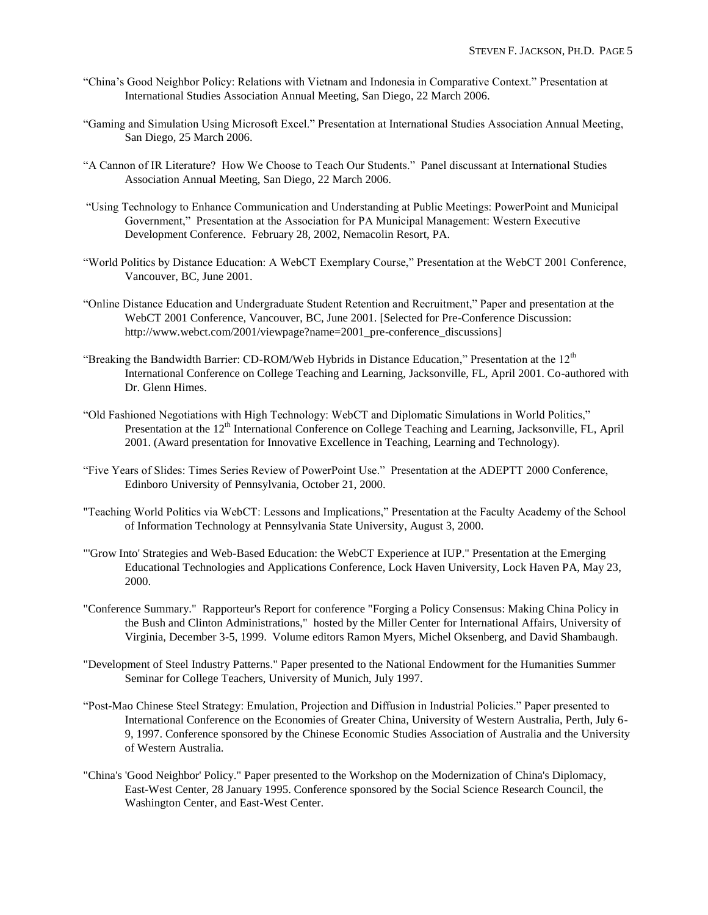- "China's Good Neighbor Policy: Relations with Vietnam and Indonesia in Comparative Context." Presentation at International Studies Association Annual Meeting, San Diego, 22 March 2006.
- "Gaming and Simulation Using Microsoft Excel." Presentation at International Studies Association Annual Meeting, San Diego, 25 March 2006.
- "A Cannon of IR Literature? How We Choose to Teach Our Students." Panel discussant at International Studies Association Annual Meeting, San Diego, 22 March 2006.
- "Using Technology to Enhance Communication and Understanding at Public Meetings: PowerPoint and Municipal Government," Presentation at the Association for PA Municipal Management: Western Executive Development Conference. February 28, 2002, Nemacolin Resort, PA.
- "World Politics by Distance Education: A WebCT Exemplary Course," Presentation at the WebCT 2001 Conference, Vancouver, BC, June 2001.
- "Online Distance Education and Undergraduate Student Retention and Recruitment," Paper and presentation at the WebCT 2001 Conference, Vancouver, BC, June 2001. [Selected for Pre-Conference Discussion: http://www.webct.com/2001/viewpage?name=2001\_pre-conference\_discussions]
- "Breaking the Bandwidth Barrier: CD-ROM/Web Hybrids in Distance Education," Presentation at the  $12<sup>th</sup>$ International Conference on College Teaching and Learning, Jacksonville, FL, April 2001. Co-authored with Dr. Glenn Himes.
- "Old Fashioned Negotiations with High Technology: WebCT and Diplomatic Simulations in World Politics," Presentation at the 12<sup>th</sup> International Conference on College Teaching and Learning, Jacksonville, FL, April 2001. (Award presentation for Innovative Excellence in Teaching, Learning and Technology).
- "Five Years of Slides: Times Series Review of PowerPoint Use." Presentation at the ADEPTT 2000 Conference, Edinboro University of Pennsylvania, October 21, 2000.
- "Teaching World Politics via WebCT: Lessons and Implications," Presentation at the Faculty Academy of the School of Information Technology at Pennsylvania State University, August 3, 2000.
- "'Grow Into' Strategies and Web-Based Education: the WebCT Experience at IUP." Presentation at the Emerging Educational Technologies and Applications Conference, Lock Haven University, Lock Haven PA, May 23, 2000.
- "Conference Summary." Rapporteur's Report for conference "Forging a Policy Consensus: Making China Policy in the Bush and Clinton Administrations," hosted by the Miller Center for International Affairs, University of Virginia, December 3-5, 1999. Volume editors Ramon Myers, Michel Oksenberg, and David Shambaugh.
- "Development of Steel Industry Patterns." Paper presented to the National Endowment for the Humanities Summer Seminar for College Teachers, University of Munich, July 1997.
- "Post-Mao Chinese Steel Strategy: Emulation, Projection and Diffusion in Industrial Policies." Paper presented to International Conference on the Economies of Greater China, University of Western Australia, Perth, July 6- 9, 1997. Conference sponsored by the Chinese Economic Studies Association of Australia and the University of Western Australia.
- "China's 'Good Neighbor' Policy." Paper presented to the Workshop on the Modernization of China's Diplomacy, East-West Center, 28 January 1995. Conference sponsored by the Social Science Research Council, the Washington Center, and East-West Center.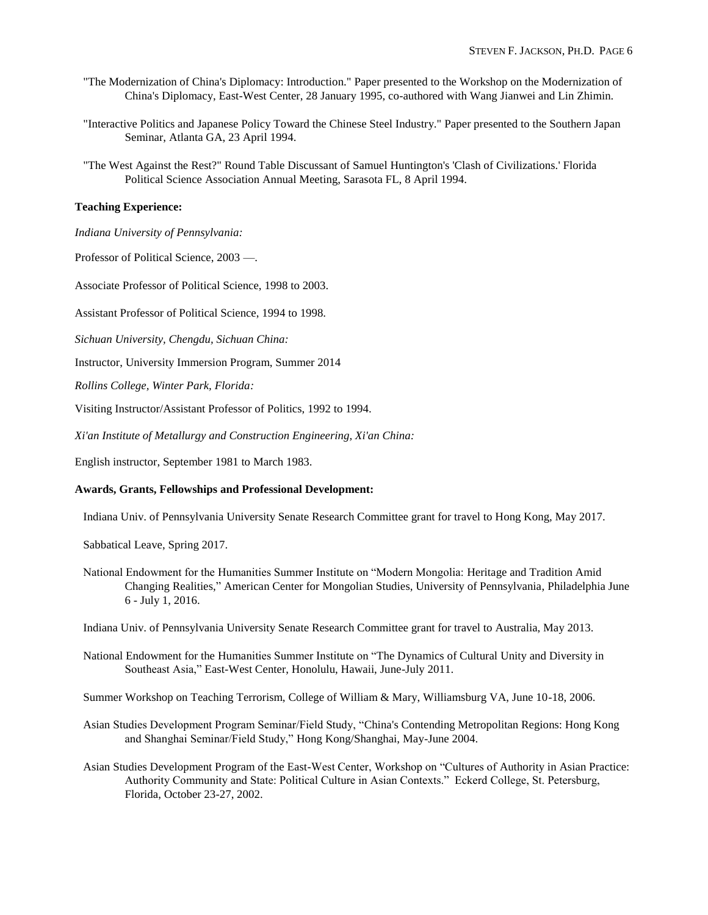- "The Modernization of China's Diplomacy: Introduction." Paper presented to the Workshop on the Modernization of China's Diplomacy, East-West Center, 28 January 1995, co-authored with Wang Jianwei and Lin Zhimin.
- "Interactive Politics and Japanese Policy Toward the Chinese Steel Industry." Paper presented to the Southern Japan Seminar, Atlanta GA, 23 April 1994.
- "The West Against the Rest?" Round Table Discussant of Samuel Huntington's 'Clash of Civilizations.' Florida Political Science Association Annual Meeting, Sarasota FL, 8 April 1994.

## **Teaching Experience:**

- *Indiana University of Pennsylvania:*
- Professor of Political Science, 2003 —.

Associate Professor of Political Science, 1998 to 2003.

Assistant Professor of Political Science, 1994 to 1998.

*Sichuan University, Chengdu, Sichuan China:*

Instructor, University Immersion Program, Summer 2014

*Rollins College, Winter Park, Florida:*

Visiting Instructor/Assistant Professor of Politics, 1992 to 1994.

*Xi'an Institute of Metallurgy and Construction Engineering, Xi'an China:*

English instructor, September 1981 to March 1983.

# **Awards, Grants, Fellowships and Professional Development:**

Indiana Univ. of Pennsylvania University Senate Research Committee grant for travel to Hong Kong, May 2017.

Sabbatical Leave, Spring 2017.

National Endowment for the Humanities Summer Institute on "Modern Mongolia: Heritage and Tradition Amid Changing Realities," American Center for Mongolian Studies, University of Pennsylvania, Philadelphia June 6 - July 1, 2016.

Indiana Univ. of Pennsylvania University Senate Research Committee grant for travel to Australia, May 2013.

National Endowment for the Humanities Summer Institute on "The Dynamics of Cultural Unity and Diversity in Southeast Asia," East-West Center, Honolulu, Hawaii, June-July 2011.

Summer Workshop on Teaching Terrorism, College of William & Mary, Williamsburg VA, June 10-18, 2006.

- Asian Studies Development Program Seminar/Field Study, "China's Contending Metropolitan Regions: Hong Kong and Shanghai Seminar/Field Study," Hong Kong/Shanghai, May-June 2004.
- Asian Studies Development Program of the East-West Center, Workshop on "Cultures of Authority in Asian Practice: Authority Community and State: Political Culture in Asian Contexts." Eckerd College, St. Petersburg, Florida, October 23-27, 2002.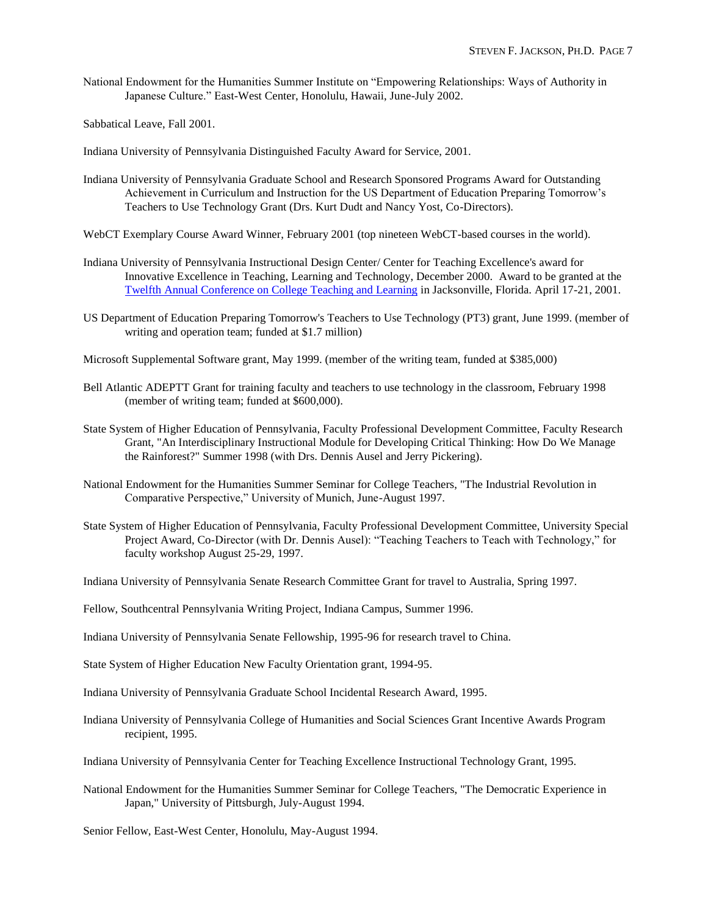National Endowment for the Humanities Summer Institute on "Empowering Relationships: Ways of Authority in Japanese Culture." East-West Center, Honolulu, Hawaii, June-July 2002.

Sabbatical Leave, Fall 2001.

Indiana University of Pennsylvania Distinguished Faculty Award for Service, 2001.

- Indiana University of Pennsylvania Graduate School and Research Sponsored Programs Award for Outstanding Achievement in Curriculum and Instruction for the US Department of Education Preparing Tomorrow's Teachers to Use Technology Grant (Drs. Kurt Dudt and Nancy Yost, Co-Directors).
- WebCT Exemplary Course Award Winner, February 2001 (top nineteen WebCT-based courses in the world).
- Indiana University of Pennsylvania Instructional Design Center/ Center for Teaching Excellence's award for Innovative Excellence in Teaching, Learning and Technology, December 2000. Award to be granted at the [Twelfth Annual Conference on College Teaching and Learning](http://www.fccj.org/Teaching%26LearningConference/awards/2001awards.html) in Jacksonville, Florida. April 17-21, 2001.
- US Department of Education Preparing Tomorrow's Teachers to Use Technology (PT3) grant, June 1999. (member of writing and operation team; funded at \$1.7 million)
- Microsoft Supplemental Software grant, May 1999. (member of the writing team, funded at \$385,000)
- Bell Atlantic ADEPTT Grant for training faculty and teachers to use technology in the classroom, February 1998 (member of writing team; funded at \$600,000).
- State System of Higher Education of Pennsylvania, Faculty Professional Development Committee, Faculty Research Grant, "An Interdisciplinary Instructional Module for Developing Critical Thinking: How Do We Manage the Rainforest?" Summer 1998 (with Drs. Dennis Ausel and Jerry Pickering).
- National Endowment for the Humanities Summer Seminar for College Teachers, "The Industrial Revolution in Comparative Perspective," University of Munich, June-August 1997.
- State System of Higher Education of Pennsylvania, Faculty Professional Development Committee, University Special Project Award, Co-Director (with Dr. Dennis Ausel): "Teaching Teachers to Teach with Technology," for faculty workshop August 25-29, 1997.
- Indiana University of Pennsylvania Senate Research Committee Grant for travel to Australia, Spring 1997.
- Fellow, Southcentral Pennsylvania Writing Project, Indiana Campus, Summer 1996.
- Indiana University of Pennsylvania Senate Fellowship, 1995-96 for research travel to China.
- State System of Higher Education New Faculty Orientation grant, 1994-95.
- Indiana University of Pennsylvania Graduate School Incidental Research Award, 1995.
- Indiana University of Pennsylvania College of Humanities and Social Sciences Grant Incentive Awards Program recipient, 1995.
- Indiana University of Pennsylvania Center for Teaching Excellence Instructional Technology Grant, 1995.
- National Endowment for the Humanities Summer Seminar for College Teachers, "The Democratic Experience in Japan," University of Pittsburgh, July-August 1994.

Senior Fellow, East-West Center, Honolulu, May-August 1994.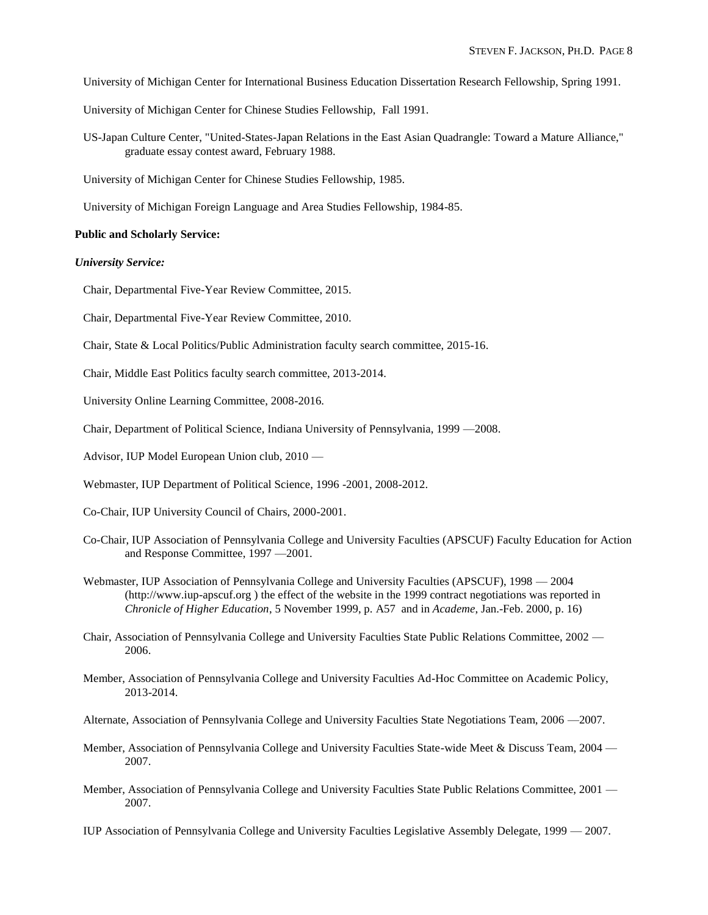- University of Michigan Center for International Business Education Dissertation Research Fellowship, Spring 1991.
- University of Michigan Center for Chinese Studies Fellowship, Fall 1991.
- US-Japan Culture Center, "United-States-Japan Relations in the East Asian Quadrangle: Toward a Mature Alliance," graduate essay contest award, February 1988.
- University of Michigan Center for Chinese Studies Fellowship, 1985.
- University of Michigan Foreign Language and Area Studies Fellowship, 1984-85.

#### **Public and Scholarly Service:**

#### *University Service:*

- Chair, Departmental Five-Year Review Committee, 2015.
- Chair, Departmental Five-Year Review Committee, 2010.
- Chair, State & Local Politics/Public Administration faculty search committee, 2015-16.
- Chair, Middle East Politics faculty search committee, 2013-2014.
- University Online Learning Committee, 2008-2016.
- Chair, Department of Political Science, Indiana University of Pennsylvania, 1999 —2008.
- Advisor, IUP Model European Union club, 2010 —
- Webmaster, IUP Department of Political Science, 1996 -2001, 2008-2012.
- Co-Chair, IUP University Council of Chairs, 2000-2001.
- Co-Chair, IUP Association of Pennsylvania College and University Faculties (APSCUF) Faculty Education for Action and Response Committee, 1997 —2001.
- Webmaster, IUP Association of Pennsylvania College and University Faculties (APSCUF), 1998 2004 (http://www.iup-apscuf.org ) the effect of the website in the 1999 contract negotiations was reported in *Chronicle of Higher Education*, 5 November 1999, p. A57 and in *Academe*, Jan.-Feb. 2000, p. 16)
- Chair, Association of Pennsylvania College and University Faculties State Public Relations Committee, 2002 2006.
- Member, Association of Pennsylvania College and University Faculties Ad-Hoc Committee on Academic Policy, 2013-2014.
- Alternate, Association of Pennsylvania College and University Faculties State Negotiations Team, 2006 —2007.
- Member, Association of Pennsylvania College and University Faculties State-wide Meet & Discuss Team, 2004 2007.
- Member, Association of Pennsylvania College and University Faculties State Public Relations Committee, 2001 2007.
- IUP Association of Pennsylvania College and University Faculties Legislative Assembly Delegate, 1999 2007.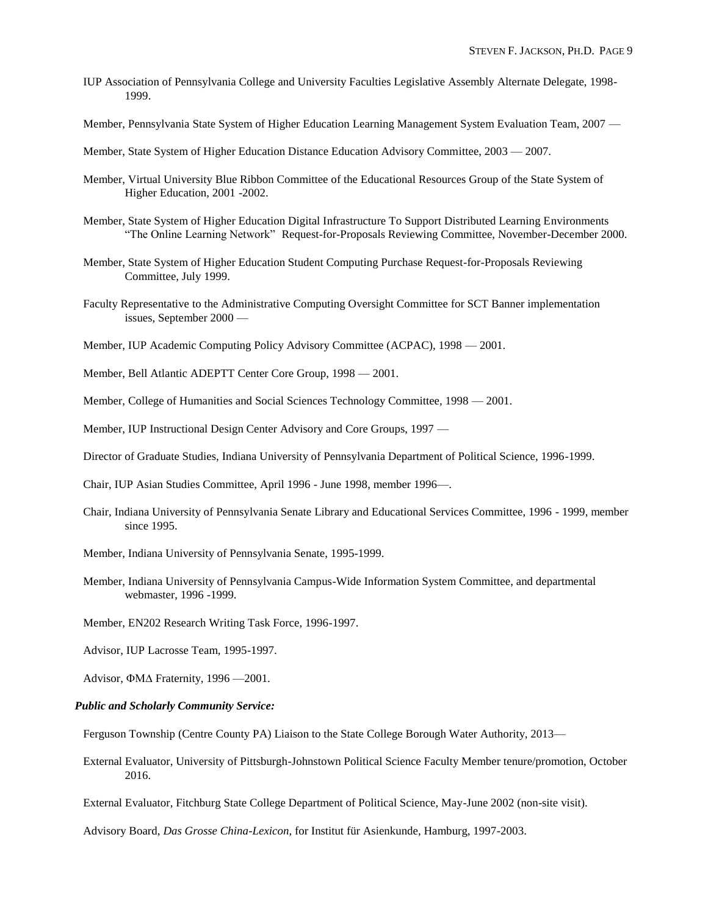- IUP Association of Pennsylvania College and University Faculties Legislative Assembly Alternate Delegate, 1998- 1999.
- Member, Pennsylvania State System of Higher Education Learning Management System Evaluation Team, 2007 —
- Member, State System of Higher Education Distance Education Advisory Committee, 2003 2007.
- Member, Virtual University Blue Ribbon Committee of the Educational Resources Group of the State System of Higher Education, 2001 -2002.
- Member, State System of Higher Education Digital Infrastructure To Support Distributed Learning Environments "The Online Learning Network" Request-for-Proposals Reviewing Committee, November-December 2000.
- Member, State System of Higher Education Student Computing Purchase Request-for-Proposals Reviewing Committee, July 1999.
- Faculty Representative to the Administrative Computing Oversight Committee for SCT Banner implementation issues, September 2000 —
- Member, IUP Academic Computing Policy Advisory Committee (ACPAC), 1998 2001.
- Member, Bell Atlantic ADEPTT Center Core Group, 1998 2001.
- Member, College of Humanities and Social Sciences Technology Committee, 1998 2001.
- Member, IUP Instructional Design Center Advisory and Core Groups, 1997 —
- Director of Graduate Studies, Indiana University of Pennsylvania Department of Political Science, 1996-1999.
- Chair, IUP Asian Studies Committee, April 1996 June 1998, member 1996—.
- Chair, Indiana University of Pennsylvania Senate Library and Educational Services Committee, 1996 1999, member since 1995.
- Member, Indiana University of Pennsylvania Senate, 1995-1999.
- Member, Indiana University of Pennsylvania Campus-Wide Information System Committee, and departmental webmaster, 1996 -1999.
- Member, EN202 Research Writing Task Force, 1996-1997.
- Advisor, IUP Lacrosse Team, 1995-1997.
- Advisor,  $\Phi$ M $\Delta$  Fraternity, 1996 2001.

### *Public and Scholarly Community Service:*

- Ferguson Township (Centre County PA) Liaison to the State College Borough Water Authority, 2013—
- External Evaluator, University of Pittsburgh-Johnstown Political Science Faculty Member tenure/promotion, October 2016.
- External Evaluator, Fitchburg State College Department of Political Science, May-June 2002 (non-site visit).
- Advisory Board, *Das Grosse China-Lexicon*, for Institut für Asienkunde, Hamburg, 1997-2003.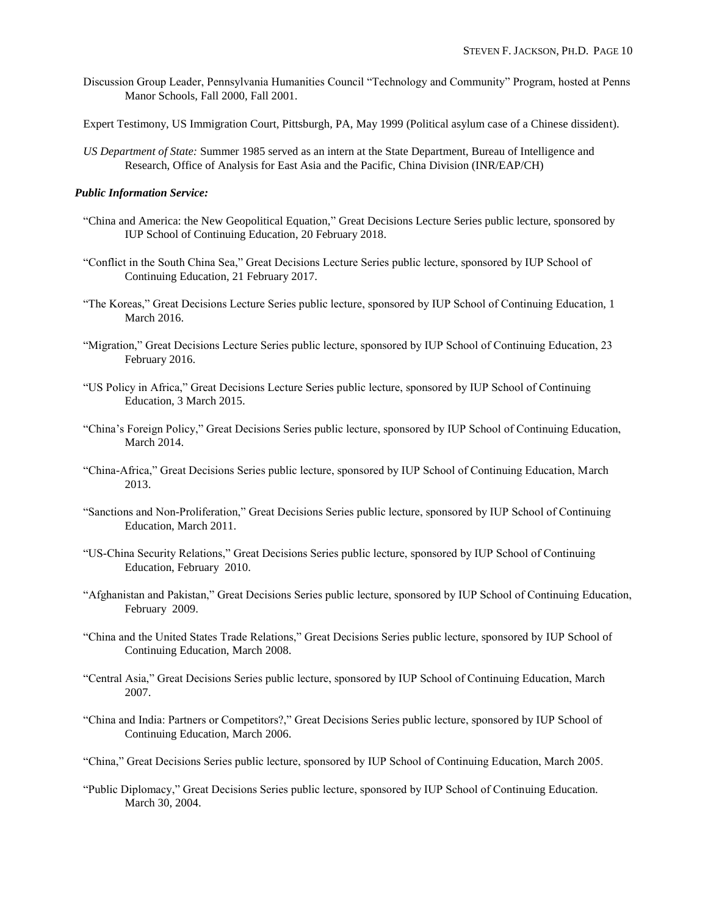- Discussion Group Leader, Pennsylvania Humanities Council "Technology and Community" Program, hosted at Penns Manor Schools, Fall 2000, Fall 2001.
- Expert Testimony, US Immigration Court, Pittsburgh, PA, May 1999 (Political asylum case of a Chinese dissident).
- *US Department of State:* Summer 1985 served as an intern at the State Department, Bureau of Intelligence and Research, Office of Analysis for East Asia and the Pacific, China Division (INR/EAP/CH)

#### *Public Information Service:*

- "China and America: the New Geopolitical Equation," Great Decisions Lecture Series public lecture, sponsored by IUP School of Continuing Education, 20 February 2018.
- "Conflict in the South China Sea," Great Decisions Lecture Series public lecture, sponsored by IUP School of Continuing Education, 21 February 2017.
- "The Koreas," Great Decisions Lecture Series public lecture, sponsored by IUP School of Continuing Education, 1 March 2016.
- "Migration," Great Decisions Lecture Series public lecture, sponsored by IUP School of Continuing Education, 23 February 2016.
- "US Policy in Africa," Great Decisions Lecture Series public lecture, sponsored by IUP School of Continuing Education, 3 March 2015.
- "China's Foreign Policy," Great Decisions Series public lecture, sponsored by IUP School of Continuing Education, March 2014.
- "China-Africa," Great Decisions Series public lecture, sponsored by IUP School of Continuing Education, March 2013.
- "Sanctions and Non-Proliferation," Great Decisions Series public lecture, sponsored by IUP School of Continuing Education, March 2011.
- "US-China Security Relations," Great Decisions Series public lecture, sponsored by IUP School of Continuing Education, February 2010.
- "Afghanistan and Pakistan," Great Decisions Series public lecture, sponsored by IUP School of Continuing Education, February 2009.
- "China and the United States Trade Relations," Great Decisions Series public lecture, sponsored by IUP School of Continuing Education, March 2008.
- "Central Asia," Great Decisions Series public lecture, sponsored by IUP School of Continuing Education, March 2007.
- "China and India: Partners or Competitors?," Great Decisions Series public lecture, sponsored by IUP School of Continuing Education, March 2006.
- "China," Great Decisions Series public lecture, sponsored by IUP School of Continuing Education, March 2005.
- "Public Diplomacy," Great Decisions Series public lecture, sponsored by IUP School of Continuing Education. March 30, 2004.